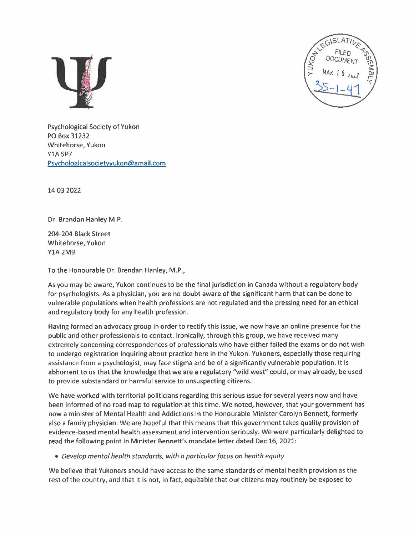



Psychological Society of Yukon PO Box 31232 Whitehorse, Yukon **Y1A 5P7** Psychologica1societyyukon@gmail.com

14 03 2022

Dr. Brendan Hanley M.P.

204-204 Black Street Whitehorse, Yukon YlA 2M9

To the Honourable Dr. Brendan Hanley, M.P.,

As you may be aware, Yukon continues to be the final jurisdiction in Canada without a regulatory body for psychologists. As a physician, you are no doubt aware of the significant harm that can be done to vulnerable populations when health professions are not regulated and the pressing need for an ethical and regulatory body for any health profession.

Having formed an advocacy group in order to rectify this issue, we now have an online presence for the public and other professionals to contact. Ironically, through this group, we have received many extremely concerning correspondences of professionals who have either failed the exams or do not wish to undergo registration inquiring about practice here in the Yukon. Yukoners, especially those requiring assistance from a psychologist, may face stigma and be of a significantly vulnerable population. It is abhorrent to us that the knowledge that we are a regulatory "wild west" could, or may already, be used to provide substandard or harmful service to unsuspecting citizens.

We have worked with territorial politicians regarding this serious issue for several years now and have been informed of no road map to regulation at this time. We noted, however, that your government has now a minister of Mental Health and Addictions in the Honourable Minister Carolyn Bennett, formerly also a family physician. We are hopeful that this means that this government takes quality provision of evidence-based mental health assessment and intervention seriously. We were particularly delighted to read the following point in Minister Bennett's mandate letter dated Dec 16, 2021:

• Develop mental health standards, with a particular focus on health equity

We believe that Yukoners should have access to the same standards of mental health provision as the rest of the country, and that it is not, in fact, equitable that our citizens may routinely be exposed to